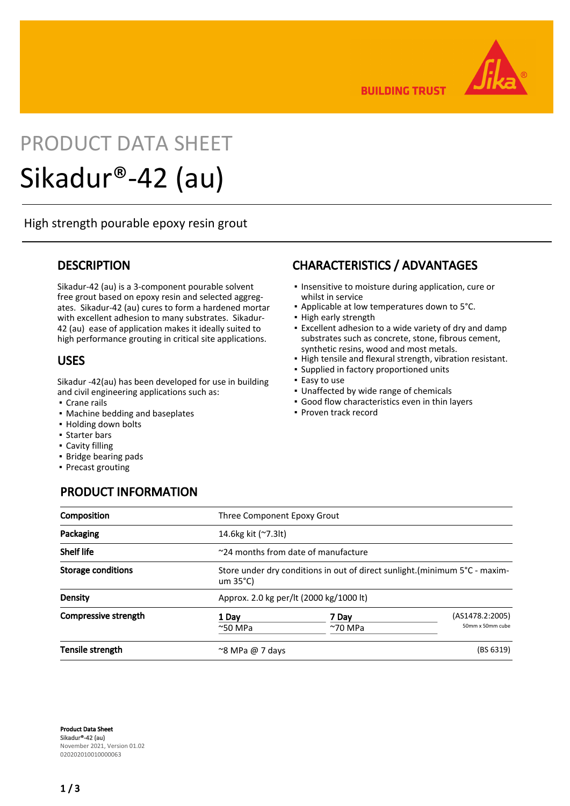

**BUILDING TRUST** 

# PRODUCT DATA SHEET Sikadur®-42 (au)

High strength pourable epoxy resin grout

## **DESCRIPTION**

Sikadur-42 (au) is a 3-component pourable solvent free grout based on epoxy resin and selected aggregates. Sikadur-42 (au) cures to form a hardened mortar with excellent adhesion to many substrates. Sikadur-42 (au) ease of application makes it ideally suited to high performance grouting in critical site applications.

## USES

Sikadur -42(au) has been developed for use in building and civil engineering applications such as:

- Crane rails
- Machine bedding and baseplates
- Holding down bolts
- Starter bars
- **Cavity filling**
- Bridge bearing pads
- Precast grouting

# PRODUCT INFORMATION

# CHARACTERISTICS / ADVANTAGES

- **.** Insensitive to moisture during application, cure or whilst in service
- Applicable at low temperatures down to 5°C.
- High early strength
- Excellent adhesion to a wide variety of dry and damp substrates such as concrete, stone, fibrous cement, synthetic resins, wood and most metals.
- High tensile and flexural strength, vibration resistant.
- Supplied in factory proportioned units
- Easy to use
- Unaffected by wide range of chemicals
- Good flow characteristics even in thin layers
- Proven track record

| Composition               |                                                                                                             | Three Component Epoxy Grout |                                     |
|---------------------------|-------------------------------------------------------------------------------------------------------------|-----------------------------|-------------------------------------|
| Packaging                 | 14.6kg kit (~7.3lt)                                                                                         |                             |                                     |
| <b>Shelf life</b>         | $\sim$ 24 months from date of manufacture                                                                   |                             |                                     |
| <b>Storage conditions</b> | Store under dry conditions in out of direct sunlight. (minimum $5^{\circ}$ C - maxim-<br>um $35^{\circ}$ C) |                             |                                     |
| Density                   | Approx. 2.0 kg per/lt (2000 kg/1000 lt)                                                                     |                             |                                     |
| Compressive strength      | 1 Dav<br>$^{\sim}$ 50 MPa                                                                                   | 7 Dav<br>$~\gamma$ 70 MPa   | (AS1478.2:2005)<br>50mm x 50mm cube |
| Tensile strength          | $\approx$ 8 MPa @ 7 days                                                                                    |                             | (BS 6319)                           |

Product Data Sheet Sikadur®-42 (au) November 2021, Version 01.02 020202010010000063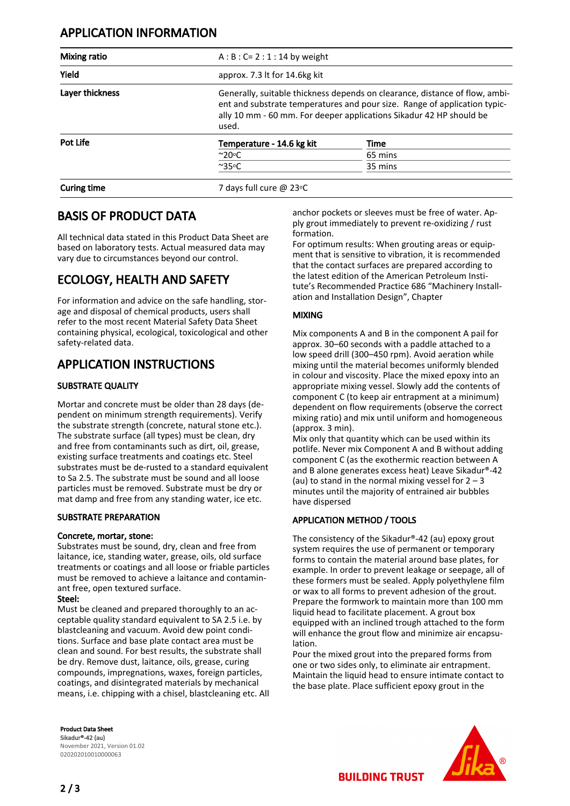## APPLICATION INFORMATION

| <b>Mixing ratio</b> | $A : B : C = 2 : 1 : 14$ by weight                                                                                                                                                                                                       |                                 |  |  |
|---------------------|------------------------------------------------------------------------------------------------------------------------------------------------------------------------------------------------------------------------------------------|---------------------------------|--|--|
| Yield               | approx. 7.3 It for 14.6kg kit                                                                                                                                                                                                            |                                 |  |  |
| Layer thickness     | Generally, suitable thickness depends on clearance, distance of flow, ambi-<br>ent and substrate temperatures and pour size. Range of application typic-<br>ally 10 mm - 60 mm. For deeper applications Sikadur 42 HP should be<br>used. |                                 |  |  |
| Pot Life            | Temperature - 14.6 kg kit                                                                                                                                                                                                                | Time                            |  |  |
|                     | $^{\sim}$ 20 $^{\circ}$ C                                                                                                                                                                                                                | 65 mins                         |  |  |
|                     | $~^{\sim}35^{\circ}$ C                                                                                                                                                                                                                   | 35 mins                         |  |  |
| <b>Curing time</b>  |                                                                                                                                                                                                                                          | 7 days full cure @ 23 $\circ$ C |  |  |

## BASIS OF PRODUCT DATA

All technical data stated in this Product Data Sheet are based on laboratory tests. Actual measured data may vary due to circumstances beyond our control.

# ECOLOGY, HEALTH AND SAFETY

For information and advice on the safe handling, storage and disposal of chemical products, users shall refer to the most recent Material Safety Data Sheet containing physical, ecological, toxicological and other safety-related data.

## APPLICATION INSTRUCTIONS

## SUBSTRATE QUALITY

Mortar and concrete must be older than 28 days (dependent on minimum strength requirements). Verify the substrate strength (concrete, natural stone etc.). The substrate surface (all types) must be clean, dry and free from contaminants such as dirt, oil, grease, existing surface treatments and coatings etc. Steel substrates must be de-rusted to a standard equivalent to Sa 2.5. The substrate must be sound and all loose particles must be removed. Substrate must be dry or mat damp and free from any standing water, ice etc.

## SUBSTRATE PREPARATION

#### Concrete, mortar, stone:

Substrates must be sound, dry, clean and free from laitance, ice, standing water, grease, oils, old surface treatments or coatings and all loose or friable particles must be removed to achieve a laitance and contaminant free, open textured surface.

## Steel:

Must be cleaned and prepared thoroughly to an acceptable quality standard equivalent to SA 2.5 i.e. by blastcleaning and vacuum. Avoid dew point conditions. Surface and base plate contact area must be clean and sound. For best results, the substrate shall be dry. Remove dust, laitance, oils, grease, curing compounds, impregnations, waxes, foreign particles, coatings, and disintegrated materials by mechanical means, i.e. chipping with a chisel, blastcleaning etc. All

Product Data Sheet Sikadur®-42 (au) November 2021, Version 01.02 020202010010000063

anchor pockets or sleeves must be free of water. Apply grout immediately to prevent re-oxidizing / rust formation.

For optimum results: When grouting areas or equipment that is sensitive to vibration, it is recommended that the contact surfaces are prepared according to the latest edition of the American Petroleum Institute's Recommended Practice 686 "Machinery Installation and Installation Design", Chapter

## MIXING

Mix components A and B in the component A pail for approx. 30–60 seconds with a paddle attached to a low speed drill (300–450 rpm). Avoid aeration while mixing until the material becomes uniformly blended in colour and viscosity. Place the mixed epoxy into an appropriate mixing vessel. Slowly add the contents of component C (to keep air entrapment at a minimum) dependent on flow requirements (observe the correct mixing ratio) and mix until uniform and homogeneous (approx. 3 min).

Mix only that quantity which can be used within its potlife. Never mix Component A and B without adding component C (as the exothermic reaction between A and B alone generates excess heat) Leave Sikadur®-42 (au) to stand in the normal mixing vessel for  $2 - 3$ minutes until the majority of entrained air bubbles have dispersed

## APPLICATION METHOD / TOOLS

The consistency of the Sikadur®-42 (au) epoxy grout system requires the use of permanent or temporary forms to contain the material around base plates, for example. In order to prevent leakage or seepage, all of these formers must be sealed. Apply polyethylene film or wax to all forms to prevent adhesion of the grout. Prepare the formwork to maintain more than 100 mm liquid head to facilitate placement. A grout box equipped with an inclined trough attached to the form will enhance the grout flow and minimize air encapsulation.

Pour the mixed grout into the prepared forms from one or two sides only, to eliminate air entrapment. Maintain the liquid head to ensure intimate contact to the base plate. Place sufficient epoxy grout in the



**BUILDING TRUST**